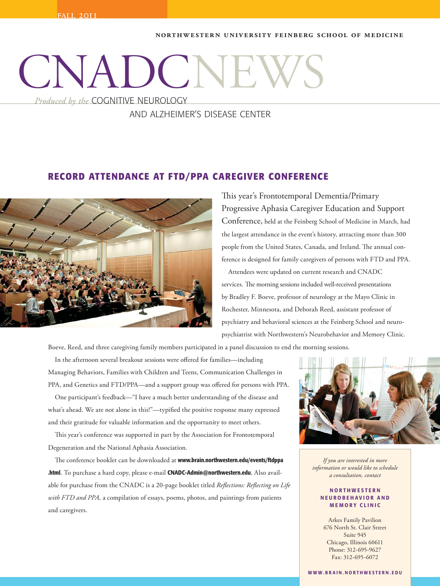#### **Northwestern University Feinberg School of Medicine**

# CNADC

*Produced by the* COGNITIVE NEUROLOGY

# AND ALZHEIMER'S DISEASE CENTER

## **RECORD ATTENDANCE AT FTD/PPA CAREGIVER CONFERENCE**



This year's Frontotemporal Dementia/Primary Progressive Aphasia Caregiver Education and Support Conference, held at the Feinberg School of Medicine in March, had the largest attendance in the event's history, attracting more than 300 people from the United States, Canada, and Ireland. The annual conference is designed for family caregivers of persons with FTD and PPA.

 Attendees were updated on current research and CNADC services. The morning sessions included well-received presentations by Bradley F. Boeve, professor of neurology at the Mayo Clinic in Rochester, Minnesota, and Deborah Reed, assistant professor of psychiatry and behavioral sciences at the Feinberg School and neuropsychiatrist with Northwestern's Neurobehavior and Memory Clinic.

Boeve, Reed, and three caregiving family members participated in a panel discussion to end the morning sessions.

 In the afternoon several breakout sessions were offered for families—including Managing Behaviors, Families with Children and Teens, Communication Challenges in PPA, and Genetics and FTD/PPA—and a support group was offered for persons with PPA.

 One participant's feedback—"I have a much better understanding of the disease and what's ahead. We are not alone in this!"—typified the positive response many expressed and their gratitude for valuable information and the opportunity to meet others.

 This year's conference was supported in part by the Association for Frontotemporal Degeneration and the National Aphasia Association.

 The conference booklet can be downloaded at **www.brain.northwestern.edu/events/ftdppa .html.** To purchase a hard copy, please e-mail **CNADC-Admin@northwestern.edu.** Also available for purchase from the CNADC is a 20-page booklet titled *Reflections: Reflecting on Life with FTD and PPA,* a compilation of essays, poems, photos, and paintings from patients and caregivers.



*If you are interested in more information or would like to schedule a consultation, contact* 

#### **N O R T H W E S T E R N N E U R O B E H A V I O R A N D M E M O R Y C L I N I C**

Fax: 312-695-6072 Arkes Family Pavilion 676 North St. Clair Street Suite 945 Chicago, Illinois 60611 Phone: 312-695-9627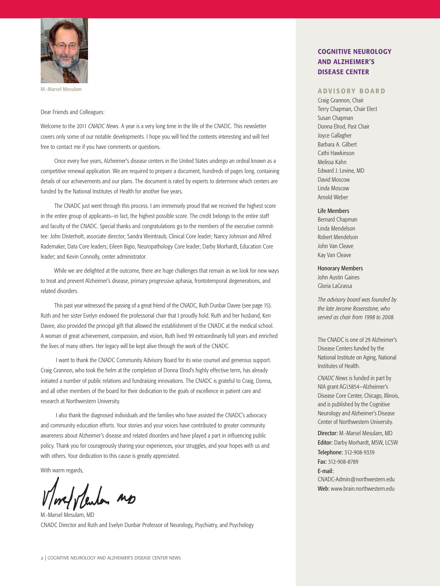

M.-Marsel Mesulam

Dear Friends and Colleagues:

Welcome to the 2011 *CNADC News.* A year is a very long time in the life of the CNADC. This newsletter covers only some of our notable developments. I hope you will find the contents interesting and will feel free to contact me if you have comments or questions.

Once every five years, Alzheimer's disease centers in the United States undergo an ordeal known as a competitive renewal application. We are required to prepare a document, hundreds of pages long, containing details of our achievements and our plans. The document is rated by experts to determine which centers are funded by the National Institutes of Health for another five years.

The CNADC just went through this process. I am immensely proud that we received the highest score in the entire group of applicants—in fact, the highest possible score. The credit belongs to the entire staff and faculty of the CNADC. Special thanks and congratulations go to the members of the executive committee: John Disterhoft, associate director; Sandra Weintraub, Clinical Core leader; Nancy Johnson and Alfred Rademaker, Data Core leaders; Eileen Bigio, Neuropathology Core leader; Darby Morhardt, Education Core leader; and Kevin Connolly, center administrator.

While we are delighted at the outcome, there are huge challenges that remain as we look for new ways to treat and prevent Alzheimer's disease, primary progressive aphasia, frontotemporal degenerations, and related disorders.

This past year witnessed the passing of a great friend of the CNADC, Ruth Dunbar Davee (see page 15). Ruth and her sister Evelyn endowed the professorial chair that I proudly hold. Ruth and her husband, Ken Davee, also provided the principal gift that allowed the establishment of the CNADC at the medical school. A woman of great achievement, compassion, and vision, Ruth lived 99 extraordinarily full years and enriched the lives of many others. Her legacy will be kept alive through the work of the CNADC.

 I want to thank the CNADC Community Advisory Board for its wise counsel and generous support. Craig Grannon, who took the helm at the completion of Donna Elrod's highly effective term, has already initiated a number of public relations and fundraising innovations. The CNADC is grateful to Craig, Donna, and all other members of the board for their dedication to the goals of excellence in patient care and research at Northwestern University.

 I also thank the diagnosed individuals and the families who have assisted the CNADC's advocacy and community education efforts. Your stories and your voices have contributed to greater community awareness about Alzheimer's disease and related disorders and have played a part in influencing public policy. Thank you for courageously sharing your experiences, your struggles, and your hopes with us and with others. Your dedication to this cause is greatly appreciated.

With warm regards,

M.-Marsel Mesulam, MD CNADC Director and Ruth and Evelyn Dunbar Professor of Neurology, Psychiatry, and Psychology

## **COGNITIVE NEUROLOGY AND ALZHEIMER'S DISEASE CENTER**

#### **ADVISORY BOARD**

Craig Grannon, Chair Terry Chapman, Chair Elect Susan Chapman Donna Elrod, Past Chair Joyce Gallagher Barbara A. Gilbert Cathi Hawkinson Melissa Kahn Edward J. Levine, MD David Moscow Linda Moscow Arnold Weber

#### Life Members

Bernard Chapman Linda Mendelson Robert Mendelson John Van Cleave Kay Van Cleave

Honorary Members John Austin Gaines Gloria LaGrassa

*The advisory board was founded by the late Jerome Rosenstone, who served as chair from 1998 to 2008.*

The CNADC is one of 29 Alzheimer's Disease Centers funded by the National Institute on Aging, National Institutes of Health.

*CNADC News* is funded in part by NIA grant AG13854—Alzheimer's Disease Core Center, Chicago, Illinois, and is published by the Cognitive Neurology and Alzheimer's Disease Center of Northwestern University.

Director: M.-Marsel Mesulam, MD Editor: Darby Morhardt, MSW, LCSW Telephone: 312-908-9339 Fax: 312-908-8789 E-mail: CNADC-Admin@northwestern.edu Web: www.brain.northwestern.edu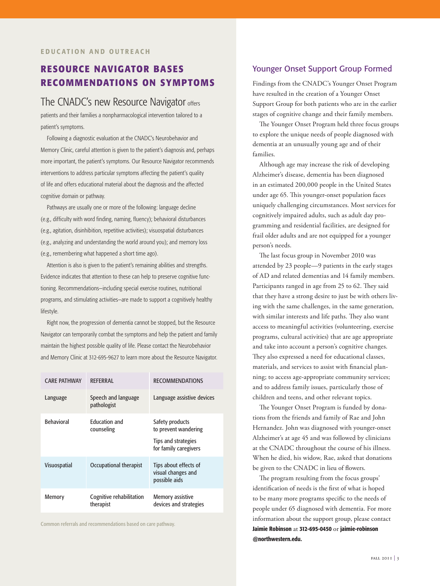# **RESOURCE NAVIGATOR BASES RECOMMENDATIONS ON SYMPTOMS**

# The CNADC's new Resource Navigator offers

patients and their families a nonpharmacological intervention tailored to a patient's symptoms.

Following a diagnostic evaluation at the CNADC's Neurobehavior and Memory Clinic, careful attention is given to the patient's diagnosis and, perhaps more important, the patient's symptoms. Our Resource Navigator recommends interventions to address particular symptoms affecting the patient's quality of life and offers educational material about the diagnosis and the affected cognitive domain or pathway.

Pathways are usually one or more of the following: language decline (e.g., difficulty with word finding, naming, fluency); behavioral disturbances (e.g., agitation, disinhibition, repetitive activities); visuospatial disturbances (e.g., analyzing and understanding the world around you); and memory loss (e.g., remembering what happened a short time ago).

Attention is also is given to the patient's remaining abilities and strengths. Evidence indicates that attention to these can help to preserve cognitive functioning. Recommendations—including special exercise routines, nutritional programs, and stimulating activities—are made to support a cognitively healthy lifestyle.

Right now, the progression of dementia cannot be stopped, but the Resource Navigator can temporarily combat the symptoms and help the patient and family maintain the highest possible quality of life. Please contact the Neurobehavior and Memory Clinic at 312-695-9627 to learn more about the Resource Navigator.

| <b>CARE PATHWAY</b> | <b>RFFFRRAL</b>                       | <b>RECOMMENDATIONS</b>                                                                  |
|---------------------|---------------------------------------|-----------------------------------------------------------------------------------------|
| Language            | Speech and language<br>pathologist    | Language assistive devices                                                              |
| <b>Behavioral</b>   | <b>Education and</b><br>counseling    | Safety products<br>to prevent wandering<br>Tips and strategies<br>for family caregivers |
| <b>Visuospatial</b> | Occupational therapist                | Tips about effects of<br>visual changes and<br>possible aids                            |
| Memory              | Cognitive rehabilitation<br>therapist | Memory assistive<br>devices and strategies                                              |

Common referrals and recommendations based on care pathway.

#### Younger Onset Support Group Formed

Findings from the CNADC's Younger Onset Program have resulted in the creation of a Younger Onset Support Group for both patients who are in the earlier stages of cognitive change and their family members.

The Younger Onset Program held three focus groups to explore the unique needs of people diagnosed with dementia at an unusually young age and of their families.

Although age may increase the risk of developing Alzheimer's disease, dementia has been diagnosed in an estimated 200,000 people in the United States under age 65. This younger-onset population faces uniquely challenging circumstances. Most services for cognitively impaired adults, such as adult day programming and residential facilities, are designed for frail older adults and are not equipped for a younger person's needs.

The last focus group in November 2010 was attended by 23 people—9 patients in the early stages of AD and related dementias and 14 family members. Participants ranged in age from 25 to 62. They said that they have a strong desire to just be with others living with the same challenges, in the same generation, with similar interests and life paths. They also want access to meaningful activities (volunteering, exercise programs, cultural activities) that are age appropriate and take into account a person's cognitive changes. They also expressed a need for educational classes, materials, and services to assist with financial planning; to access age-appropriate community services; and to address family issues, particularly those of children and teens, and other relevant topics.

The Younger Onset Program is funded by donations from the friends and family of Rae and John Hernandez. John was diagnosed with younger-onset Alzheimer's at age 45 and was followed by clinicians at the CNADC throughout the course of his illness. When he died, his widow, Rae, asked that donations be given to the CNADC in lieu of flowers.

The program resulting from the focus groups' identification of needs is the first of what is hoped to be many more programs specific to the needs of people under 65 diagnosed with dementia. For more information about the support group, please contact **Jaimie Robinson** at **312-695-0450** or **jaimie-robinson @northwestern.edu.**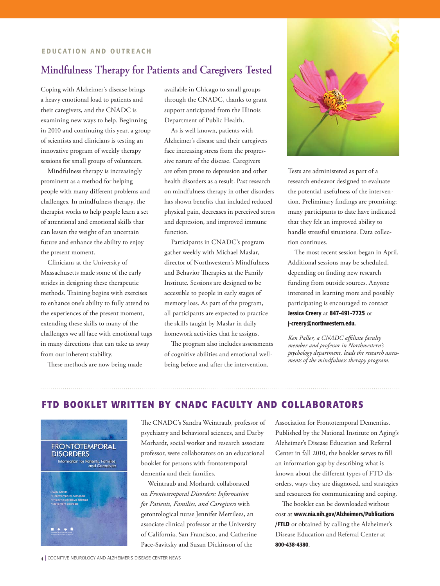# **Mindfulness Therapy for Patients and Caregivers Tested**

Coping with Alzheimer's disease brings a heavy emotional load to patients and their caregivers, and the CNADC is examining new ways to help. Beginning in 2010 and continuing this year, a group of scientists and clinicians is testing an innovative program of weekly therapy sessions for small groups of volunteers.

Mindfulness therapy is increasingly prominent as a method for helping people with many different problems and challenges. In mindfulness therapy, the therapist works to help people learn a set of attentional and emotional skills that can lessen the weight of an uncertain future and enhance the ability to enjoy the present moment.

Clinicians at the University of Massachusetts made some of the early strides in designing these therapeutic methods. Training begins with exercises to enhance one's ability to fully attend to the experiences of the present moment, extending these skills to many of the challenges we all face with emotional tugs in many directions that can take us away from our inherent stability.

These methods are now being made

available in Chicago to small groups through the CNADC, thanks to grant support anticipated from the Illinois Department of Public Health.

As is well known, patients with Alzheimer's disease and their caregivers face increasing stress from the progressive nature of the disease. Caregivers are often prone to depression and other health disorders as a result. Past research on mindfulness therapy in other disorders has shown benefits that included reduced physical pain, decreases in perceived stress and depression, and improved immune function.

Participants in CNADC's program gather weekly with Michael Maslar, director of Northwestern's Mindfulness and Behavior Therapies at the Family Institute. Sessions are designed to be accessible to people in early stages of memory loss. As part of the program, all participants are expected to practice the skills taught by Maslar in daily homework activities that he assigns.

The program also includes assessments of cognitive abilities and emotional wellbeing before and after the intervention.



Tests are administered as part of a research endeavor designed to evaluate the potential usefulness of the intervention. Preliminary findings are promising; many participants to date have indicated that they felt an improved ability to handle stressful situations. Data collection continues.

The most recent session began in April. Additional sessions may be scheduled, depending on finding new research funding from outside sources. Anyone interested in learning more and possibly participating is encouraged to contact **Jessica Creery** at **847-491-7725** or **j-creery@northwestern.edu.**

*Ken Paller, a CNADC affiliate faculty member and professor in Northwestern's psychology department, leads the research assessments of the mindfulness therapy program.*

## **FTD BOOKLET WRITTEN BY CNADC FACULTY AND COLLABORATORS**



The CNADC's Sandra Weintraub, professor of psychiatry and behavioral sciences, and Darby Morhardt, social worker and research associate professor, were collaborators on an educational booklet for persons with frontotemporal dementia and their families.

Weintraub and Morhardt collaborated on *Frontotemporal Disorders: Information for Patients, Families, and Caregivers* with gerontological nurse Jennifer Merrilees, an associate clinical professor at the University of California, San Francisco, and Catherine Pace-Savitsky and Susan Dickinson of the

Association for Frontotemporal Dementias. Published by the National Institute on Aging's Alzheimer's Disease Education and Referral Center in fall 2010, the booklet serves to fill an information gap by describing what is known about the different types of FTD disorders, ways they are diagnosed, and strategies and resources for communicating and coping.

The booklet can be downloaded without cost at **www.nia.nih.gov/Alzheimers/Publications /FTLD** or obtained by calling the Alzheimer's Disease Education and Referral Center at **800-438-4380**.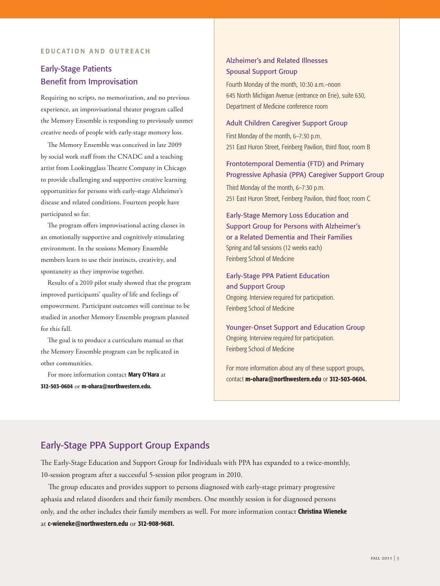#### **EDUCATION AND OUTREACH**

# Early-Stage Patients Benefit from Improvisation

Requiring no scripts, no memorization, and no previous experience, an improvisational theater program called the Memory Ensemble is responding to previously unmet creative needs of people with early-stage memory loss.

The Memory Ensemble was conceived in late 2009 by social work staff from the CNADC and a teaching artist from Lookingglass Theatre Company in Chicago to provide challenging and supportive creative learning opportunities for persons with early-stage Alzheimer's disease and related conditions. Fourteen people have participated so far.

The program offers improvisational acting classes in an emotionally supportive and cognitively stimulating environment. In the sessions Memory Ensemble members learn to use their instincts, creativity, and spontaneity as they improvise together.

Results of a 2010 pilot study showed that the program improved participants' quality of life and feelings of empowerment. Participant outcomes will continue to be studied in another Memory Ensemble program planned for this fall.

The goal is to produce a curriculum manual so that the Memory Ensemble program can be replicated in other communities.

For more information contact **Mary O'Hara** at **312-503-0604** or **m-ohara@northwestern.edu.**

### Alzheimer's and Related Illnesses Spousal Support Group

Fourth Monday of the month, 10:30 a.m.–noon 645 North Michigan Avenue (entrance on Erie), suite 630, Department of Medicine conference room

#### Adult Children Caregiver Support Group

First Monday of the month, 6–7:30 p.m. 251 East Huron Street, Feinberg Pavilion, third floor, room B

Frontotemporal Dementia (FTD) and Primary Progressive Aphasia (PPA) Caregiver Support Group

Third Monday of the month, 6–7:30 p.m. 251 East Huron Street, Feinberg Pavilion, third floor, room C

Early-Stage Memory Loss Education and Support Group for Persons with Alzheimer's or a Related Dementia and Their Families Spring and fall sessions (12 weeks each) Feinberg School of Medicine

Early-Stage PPA Patient Education and Support Group Ongoing. Interview required for participation. Feinberg School of Medicine

Younger-Onset Support and Education Group Ongoing. Interview required for participation. Feinberg School of Medicine

For more information about any of these support groups, contact **m-ohara@northwestern.edu** or **312-503-0604.** 

# Early-Stage PPA Support Group Expands

The Early-Stage Education and Support Group for Individuals with PPA has expanded to a twice-monthly, 10-session program after a successful 5-session pilot program in 2010.

The group educates and provides support to persons diagnosed with early-stage primary progressive aphasia and related disorders and their family members. One monthly session is for diagnosed persons only, and the other includes their family members as well. For more information contact **Christina Wieneke** at **c-wieneke@northwestern.edu** or **312-908-9681.**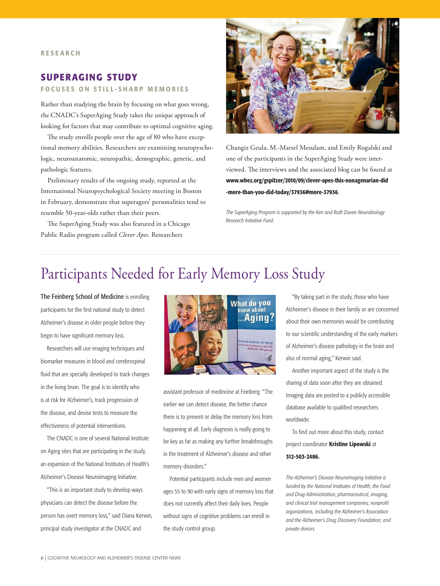# **SUPERAGING STUDY**

#### **FOCUSES ON STILL-SHARP MEMORIES**

Rather than studying the brain by focusing on what goes wrong, the CNADC's SuperAging Study takes the unique approach of looking for factors that may contribute to optimal cognitive aging.

The study enrolls people over the age of 80 who have exceptional memory abilities. Researchers are examining neuropyschologic, neuroanatomic, neuropathic, demographic, genetic, and pathologic features.

Preliminary results of the ongoing study, reported at the International Neuropsychological Society meeting in Boston in February, demonstrate that superagers' personalities tend to resemble 50-year-olds rather than their peers.

The SuperAging Study was also featured in a Chicago Public Radio program called *Clever Apes*. Researchers



Changiz Geula, M.-Marsel Mesulam, and Emily Rogalski and one of the participants in the SuperAging Study were interviewed. The interviews and the associated blog can be found at **www.wbez.org/gspitzer/2010/09/clever-apes-this-nonagenarian-did -more-than-you-did-today/37936#more-37936**.

*The SuperAging Program is supported by the Ken and Ruth Davee Neurobiology Research Initiative Fund.*

# Participants Needed for Early Memory Loss Study

The Feinberg School of Medicine is enrolling participants for the first national study to detect Alzheimer's disease in older people before they begin to have significant memory loss.

Researchers will use imaging techniques and biomarker measures in blood and cerebrospinal fluid that are specially developed to track changes in the living brain. The goal is to identify who is at risk for Alzheimer's, track progression of the disease, and devise tests to measure the effectiveness of potential interventions.

The CNADC is one of several National Institute on Aging sites that are participating in the study, an expansion of the National Institutes of Health's Alzheimer's Disease Neuroimaging Initiative.

"This is an important study to develop ways physicians can detect the disease before the person has overt memory loss," said Diana Kerwin, principal study investigator at the CNADC and



assistant professor of medincine at Feinberg. "The earlier we can detect disease, the better chance there is to prevent or delay the memory loss from happening at all. Early diagnosis is really going to be key as far as making any further breakthroughs in the treatment of Alzheimer's disease and other memory disorders."

Potential participants include men and women ages 55 to 90 with early signs of memory loss that does not currently affect their daily lives. People without signs of cognitive problems can enroll in the study control group.

"By taking part in the study, those who have Alzheimer's disease in their family or are concerned about their own memories would be contributing to our scientific understanding of the early markers of Alzheimer's disease pathology in the brain and also of normal aging," Kerwin said.

Another important aspect of the study is the sharing of data soon after they are obtained. Imaging data are posted to a publicly accessible database available to qualified researchers worldwide.

To find out more about this study, contact project coordinator **Kristine Lipowski** at **312-503-2486.**

*The Alzheimer's Disease Neuroimaging Initiative is funded by the National Institutes of Health; the Food and Drug Administration; pharmaceutical, imaging, and clinical trial management companies; nonprofit organizations, including the Alzheimer's Association and the Alzheimer's Drug Discovery Foundation; and private donors.*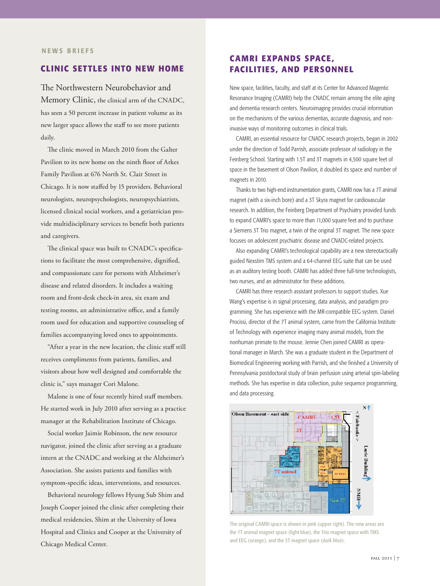#### **NEWS BRIEFS**

#### **CLINIC SETTLES INTO NEW HOME**

The Northwestern Neurobehavior and Memory Clinic, the clinical arm of the CNADC, has seen a 50 percent increase in patient volume as its new larger space allows the staff to see more patients daily.

The clinic moved in March 2010 from the Galter Pavilion to its new home on the ninth floor of Arkes Family Pavilion at 676 North St. Clair Street in Chicago. It is now staffed by 15 providers. Behavioral neurologists, neuropsychologists, neuropsychiatrists, licensed clinical social workers, and a geriatrician provide multidisciplinary services to benefit both patients and caregivers.

The clinical space was built to CNADC's specifications to facilitate the most comprehensive, dignified, and compassionate care for persons with Alzheimer's disease and related disorders. It includes a waiting room and front-desk check-in area, six exam and testing rooms, an administrative office, and a family room used for education and supportive counseling of families accompanying loved ones to appointments.

"After a year in the new location, the clinic staff still receives compliments from patients, families, and visitors about how well designed and comfortable the clinic is," says manager Cori Malone.

Malone is one of four recently hired staff members. He started work in July 2010 after serving as a practice manager at the Rehabilitation Institute of Chicago.

Social worker Jaimie Robinson, the new resource navigator, joined the clinic after serving as a graduate intern at the CNADC and working at the Alzheimer's Association. She assists patients and families with symptom-specific ideas, interventions, and resources.

Behavioral neurology fellows Hyung Sub Shim and Joseph Cooper joined the clinic after completing their medical residencies, Shim at the University of Iowa Hospital and Clinics and Cooper at the University of Chicago Medical Center.

# **CAMRI EXPANDS SPACE, FACILITIES, AND PERSONNEL**

New space, facilities, faculty, and staff at its Center for Advanced Magentic Resonance Imaging (CAMRI) help the CNADC remain among the elite aging and dementia research centers. Neuroimaging provides crucial information on the mechanisms of the various dementias, accurate diagnosis, and noninvasive ways of monitoring outcomes in clinical trials.

CAMRI, an essential resource for CNADC research projects, began in 2002 under the direction of Todd Parrish, associate professor of radiology in the Feinberg School. Starting with 1.5T and 3T magnets in 4,500 square feet of space in the basement of Olson Pavilion, it doubled its space and number of magnets in 2010.

Thanks to two high-end instrumentation grants, CAMRI now has a 7T animal magnet (with a six-inch bore) and a 3T Skyra magnet for cardiovascular research. In addition, the Feinberg Department of Psychiatry provided funds to expand CAMRI's space to more than 11,000 square feet and to purchase a Siemens 3T Trio magnet, a twin of the original 3T magnet. The new space focuses on adolescent psychiatric disease and CNADC-related projects.

Also expanding CAMRI's technological capability are a new stereotactically guided Nexstim TMS system and a 64-channel EEG suite that can be used as an auditory testing booth. CAMRI has added three full-time technologists, two nurses, and an administrator for these additions.

CAMRI has three research assistant professors to support studies. Xue Wang's expertise is in signal processing, data analysis, and paradigm programming. She has experience with the MR-compatible EEG system. Daniel Procissi, director of the 7T animal system, came from the California Institute of Technology with experience imaging many animal models, from the nonhuman primate to the mouse. Jennie Chen joined CAMRI as operational manager in March. She was a graduate student in the Department of Biomedical Engineering working with Parrish, and she finished a University of Pennsylvania postdoctoral study of brain perfusion using arterial spin-labeling methods. She has expertise in data collection, pulse sequence programming, and data processing.



The original CAMRI space is shown in pink (upper right). The new areas are the 7T animal magnet space (light blue), the Trio magnet space with TMS and EEG (orange), and the 3T magnet space (dark blue).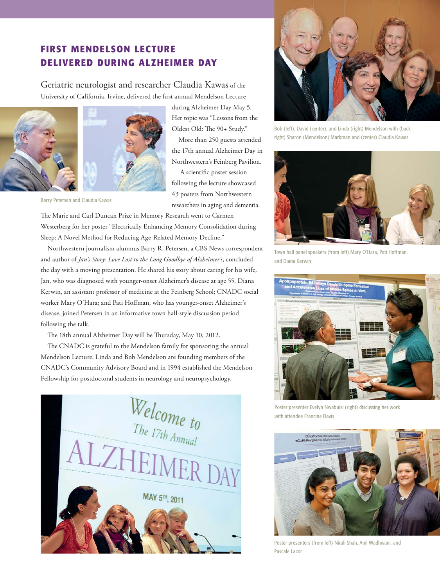# **FIRST MENDELSON LECTURE DELIVERED DURING ALZHEIMER DAY**

Geriatric neurologist and researcher Claudia Kawas of the University of California, Irvine, delivered the first annual Mendelson Lecture



during Alzheimer Day May 5. Her topic was "Lessons from the Oldest Old: The 90+ Study."

 More than 250 guests attended the 17th annual Alzheimer Day in Northwestern's Feinberg Pavilion.

 A scientific poster session following the lecture showcased 43 posters from Northwestern researchers in aging and dementia.

Barry Petersen and Claudia Kawas

The Marie and Carl Duncan Prize in Memory Research went to Carmen Westerberg for her poster "Electrically Enhancing Memory Consolidation during Sleep: A Novel Method for Reducing Age-Related Memory Decline."

 Northwestern journalism alumnus Barry R. Petersen, a CBS News correspondent and author of *Jan's Story: Love Lost to the Long Goodbye of Alzheimer's*, concluded the day with a moving presentation. He shared his story about caring for his wife, Jan, who was diagnosed with younger-onset Alzheimer's disease at age 55. Diana Kerwin, an assistant professor of medicine at the Feinberg School; CNADC social worker Mary O'Hara; and Pati Hoffman, who has younger-onset Alzheimer's disease, joined Petersen in an informative town hall-style discussion period following the talk.

The 18th annual Alzheimer Day will be Thursday, May 10, 2012.

 The CNADC is grateful to the Mendelson family for sponsoring the annual Mendelson Lecture. Linda and Bob Mendelson are founding members of the CNADC's Community Advisory Board and in 1994 established the Mendelson Fellowship for postdoctoral students in neurology and neuropsychology.





Bob (left), David (center), and Linda (right) Mendelson with (back right) Sharon (Mendelson) Markman and (center) Claudia Kawas



Town hall panel speakers (from left) Mary O'Hara, Pati Hoffman, and Diana Kerwin



Poster presenter Evelyn Nwabuisi (right) discussing her work with attendee Francine Davis



Poster presenters (from left) Nirali Shah, Anil Wadhwani, and Pascale Lacor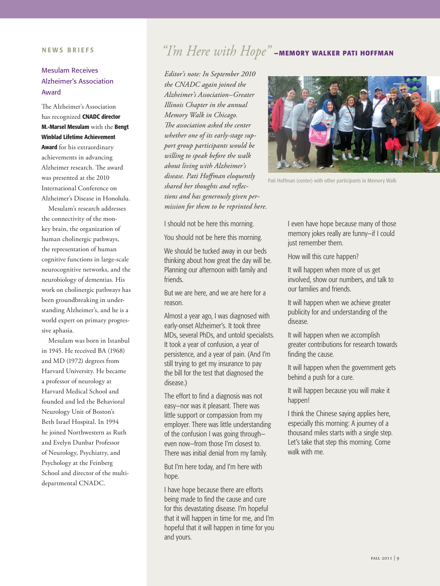#### **NEWS BRIEFS**

# Mesulam Receives Alzheimer's Association Award

The Alzheimer's Association has recognized **CNADC director M.-Marsel Mesulam** with the **Bengt Winblad Lifetime Achievement Award** for his extraordinary achievements in advancing Alzheimer research. The award was presented at the 2010 International Conference on Alzheimer's Disease in Honolulu.

 Mesulam's research addresses the connectivity of the monkey brain, the organization of human cholinergic pathways, the representation of human cognitive functions in large-scale neurocognitive networks, and the neurobiology of dementias. His work on cholinergic pathways has been groundbreaking in understanding Alzheimer's, and he is a world expert on primary progressive aphasia.

 Mesulam was born in Istanbul in 1945. He received BA (1968) and MD (1972) degrees from Harvard University. He became a professor of neurology at Harvard Medical School and founded and led the Behavioral Neurology Unit of Boston's Beth Israel Hospital. In 1994 he joined Northwestern as Ruth and Evelyn Dunbar Professor of Neurology, Psychiatry, and Psychology at the Feinberg School and director of the multidepartmental CNADC.

# *"I'm Here with Hope"* **—MEMORY WALKER PATI HOFFMAN**

*Editor's note: In September 2010 the CNADC again joined the Alzheimer's Association–Greater Illinois Chapter in the annual Memory Walk in Chicago. The association asked the center whether one of its early-stage support group participants would be willing to speak before the walk about living with Alzheimer's disease. Pati Hoffman eloquently shared her thoughts and reflections and has generously given permission for them to be reprinted here.*

I should not be here this morning.

You should not be here this morning.

We should be tucked away in our beds thinking about how great the day will be. Planning our afternoon with family and friends.

But we are here, and we are here for a reason.

Almost a year ago, I was diagnosed with early-onset Alzheimer's. It took three MDs, several PhDs, and untold specialists. It took a year of confusion, a year of persistence, and a year of pain. (And I'm still trying to get my insurance to pay the bill for the test that diagnosed the disease.)

The effort to find a diagnosis was not easy—nor was it pleasant. There was little support or compassion from my employer. There was little understanding of the confusion I was going through even now—from those I'm closest to. There was initial denial from my family.

But I'm here today, and I'm here with hope.

I have hope because there are efforts being made to find the cause and cure for this devastating disease. I'm hopeful that it will happen in time for me, and I'm hopeful that it will happen in time for you and yours.



Pati Hoffman (center) with other participants in Memory Walk

I even have hope because many of those memory jokes really are funny—if I could just remember them.

How will this cure happen?

It will happen when more of us get involved, show our numbers, and talk to our families and friends.

It will happen when we achieve greater publicity for and understanding of the disease.

It will happen when we accomplish greater contributions for research towards finding the cause.

It will happen when the government gets behind a push for a cure.

It will happen because you will make it happen!

I think the Chinese saying applies here, especially this morning: A journey of a thousand miles starts with a single step. Let's take that step this morning. Come walk with me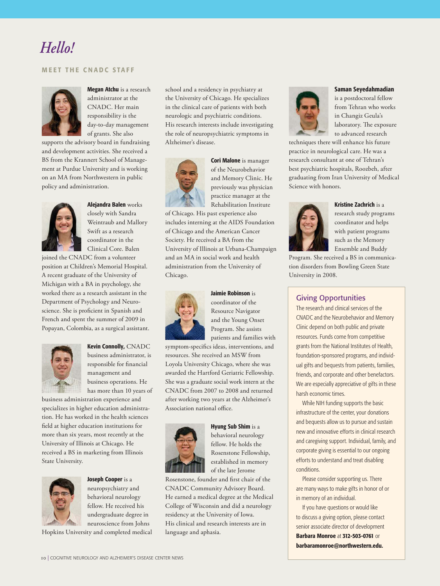# Hello! *Hello!*

#### **MEET THE CNADC STAFF**



**Megan Atchu** is a research administrator at the CNADC. Her main responsibility is the day-to-day management of grants. She also

supports the advisory board in fundraising and development activities. She received a BS from the Krannert School of Management at Purdue University and is working on an MA from Northwestern in public policy and administration.



# **Alejandra Balen** works

closely with Sandra Weintraub and Mallory Swift as a research coordinator in the Clinical Core. Balen

joined the CNADC from a volunteer position at Children's Memorial Hospital. A recent graduate of the University of Michigan with a BA in psychology, she worked there as a research assistant in the Department of Psychology and Neuroscience. She is proficient in Spanish and French and spent the summer of 2009 in Popayan, Colombia, as a surgical assistant.



**Kevin Connolly,** CNADC business administrator, is responsible for financial management and business operations. He has more than 10 years of

business administration experience and specializes in higher education administration. He has worked in the health sciences field at higher education institutions for more than six years, most recently at the University of Illinois at Chicago. He received a BS in marketing from Illinois State University.



**Joseph Cooper** is a neuropsychiatry and

behavioral neurology fellow. He received his undergraduate degree in neuroscience from Johns

Hopkins University and completed medical

school and a residency in psychiatry at the University of Chicago. He specializes in the clinical care of patients with both neurologic and psychiatric conditions. His research interests include investigating the role of neuropsychiatric symptoms in Alzheimer's disease.



**Cori Malone** is manager of the Neurobehavior and Memory Clinic. He previously was physician practice manager at the Rehabilitation Institute

of Chicago. His past experience also includes interning at the AIDS Foundation of Chicago and the American Cancer Society. He received a BA from the University of Illinois at Urbana-Champaign and an MA in social work and health administration from the University of Chicago.



**Jaimie Robinson** is

coordinator of the Resource Navigator and the Young Onset Program. She assists patients and families with

symptom-specifics ideas, interventions, and resources. She received an MSW from Loyola University Chicago, where she was awarded the Hartford Geriatric Fellowship. She was a graduate social work intern at the CNADC from 2007 to 2008 and returned after working two years at the Alzheimer's Association national office.



**Hyung Sub Shim** is a behavioral neurology fellow. He holds the Rosenstone Fellowship, established in memory of the late Jerome

Rosenstone, founder and first chair of the CNADC Community Advisory Board. He earned a medical degree at the Medical College of Wisconsin and did a neurology residency at the University of Iowa. His clinical and research interests are in language and aphasia.



**Saman Seyedahmadian**

is a postdoctoral fellow from Tehran who works in Changiz Geula's laboratory. The exposure to advanced research

techniques there will enhance his future practice in neurological care. He was a research consultant at one of Tehran's best psychiatric hospitals, Roozbeh, after graduating from Iran University of Medical Science with honors.



**Kristine Zachrich** is a research study programs coordinator and helps with patient programs such as the Memory Ensemble and Buddy

Program. She received a BS in communication disorders from Bowling Green State University in 2008.

#### Giving Opportunities

The research and clinical services of the CNADC and the Neurobehavior and Memory Clinic depend on both public and private resources. Funds come from competitive grants from the National Institutes of Health, foundation-sponsored programs, and individual gifts and bequests from patients, families, friends, and corporate and other benefactors. We are especially appreciative of gifts in these harsh economic times.

While NIH funding supports the basic infrastructure of the center, your donations and bequests allow us to pursue and sustain new and innovative efforts in clinical research and caregiving support. Individual, family, and corporate giving is essential to our ongoing efforts to understand and treat disabling conditions.

Please consider supporting us. There are many ways to make gifts in honor of or in memory of an individual.

If you have questions or would like to discuss a giving option, please contact senior associate director of development **Barbara Monroe** at **312-503-0761** or **barbaramonroe@northwestern.edu.**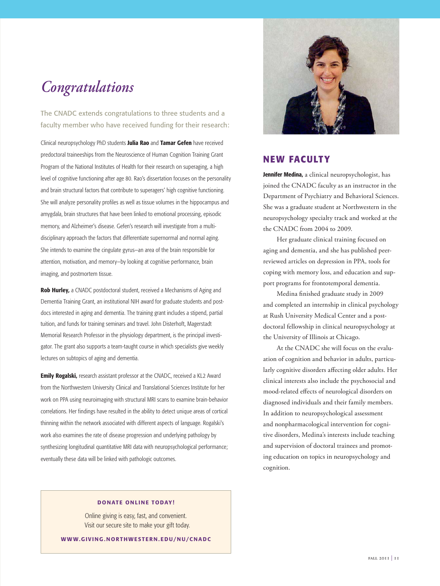# *Congratulations*

The CNADC extends congratulations to three students and a faculty member who have received funding for their research:

Clinical neuropsychology PhD students **Julia Rao** and **Tamar Gefen** have received predoctoral traineeships from the Neuroscience of Human Cognition Training Grant Program of the National Institutes of Health for their research on superaging, a high level of cognitive functioning after age 80. Rao's dissertation focuses on the personality and brain structural factors that contribute to superagers' high cognitive functioning. She will analyze personality profiles as well as tissue volumes in the hippocampus and amygdala, brain structures that have been linked to emotional processing, episodic memory, and Alzheimer's disease. Gefen's research will investigate from a multidisciplinary approach the factors that differentiate supernormal and normal aging. She intends to examine the cingulate gyrus—an area of the brain responsible for attention, motivation, and memory—by looking at cognitive performance, brain imaging, and postmortem tissue.

**Rob Hurley,** a CNADC postdoctoral student, received a Mechanisms of Aging and Dementia Training Grant, an institutional NIH award for graduate students and postdocs interested in aging and dementia. The training grant includes a stipend, partial tuition, and funds for training seminars and travel. John Disterhoft, Magerstadt Memorial Research Professor in the physiology department, is the principal investigator. The grant also supports a team-taught course in which specialists give weekly lectures on subtopics of aging and dementia.

**Emily Rogalski,** research assistant professor at the CNADC, received a KL2 Award from the Northwestern University Clinical and Translational Sciences Institute for her work on PPA using neuroimaging with structural MRI scans to examine brain-behavior correlations. Her findings have resulted in the ability to detect unique areas of cortical thinning within the network associated with different aspects of language. Rogalski's work also examines the rate of disease progression and underlying pathology by synthesizing longitudinal quantitative MRI data with neuropsychological performance; eventually these data will be linked with pathologic outcomes.



## **NEW FACULTY**

**Jennifer Medina,** a clinical neuropsychologist, has joined the CNADC faculty as an instructor in the Department of Psychiatry and Behavioral Sciences. She was a graduate student at Northwestern in the neuropsychology specialty track and worked at the the CNADC from 2004 to 2009.

 Her graduate clinical training focused on aging and dementia, and she has published peerreviewed articles on depression in PPA, tools for coping with memory loss, and education and support programs for frontotemporal dementia.

Medina finished graduate study in 2009 and completed an internship in clinical psychology at Rush University Medical Center and a postdoctoral fellowship in clinical neuropsychology at the University of Illinois at Chicago.

At the CNADC she will focus on the evaluation of cognition and behavior in adults, particularly cognitive disorders affecting older adults. Her clinical interests also include the psychosocial and mood-related effects of neurological disorders on diagnosed individuals and their family members. In addition to neuropsychological assessment and nonpharmacological intervention for cognitive disorders, Medina's interests include teaching and supervision of doctoral trainees and promoting education on topics in neuropsychology and cognition.

#### **DONATE ONLINE TODAY!**

Online giving is easy, fast, and convenient. Visit our secure site to make your gift today.

**WWW.GIVING . NORTHWESTERN . EDU/NU/CNADC**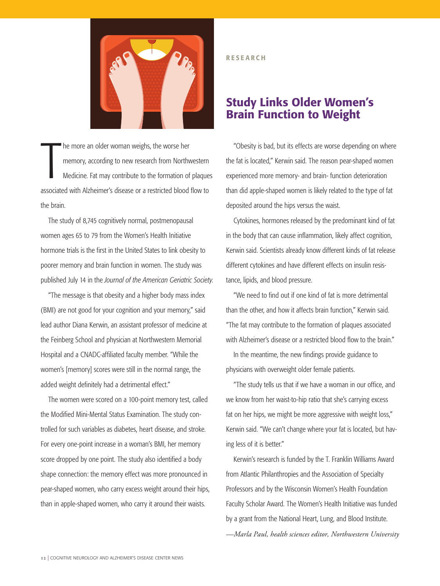

T he more an older woman weighs, the worse her memory, according to new research from Northwestern Medicine. Fat may contribute to the formation of plaques associated with Alzheimer's disease or a restricted blood flow to the brain.

The study of 8,745 cognitively normal, postmenopausal women ages 65 to 79 from the Women's Health Initiative hormone trials is the first in the United States to link obesity to poorer memory and brain function in women. The study was published July 14 in the *Journal of the American Geriatric Society*.

"The message is that obesity and a higher body mass index (BMI) are not good for your cognition and your memory," said lead author Diana Kerwin, an assistant professor of medicine at the Feinberg School and physician at Northwestern Memorial Hospital and a CNADC-affiliated faculty member. "While the women's [memory] scores were still in the normal range, the added weight definitely had a detrimental effect."

The women were scored on a 100-point memory test, called the Modified Mini-Mental Status Examination. The study controlled for such variables as diabetes, heart disease, and stroke. For every one-point increase in a woman's BMI, her memory score dropped by one point. The study also identified a body shape connection: the memory effect was more pronounced in pear-shaped women, who carry excess weight around their hips, than in apple-shaped women, who carry it around their waists.

#### **RESEARCH**

# **Study Links Older Women's Brain Function to Weight**

"Obesity is bad, but its effects are worse depending on where the fat is located," Kerwin said. The reason pear-shaped women experienced more memory- and brain- function deterioration than did apple-shaped women is likely related to the type of fat deposited around the hips versus the waist.

Cytokines, hormones released by the predominant kind of fat in the body that can cause inflammation, likely affect cognition, Kerwin said. Scientists already know different kinds of fat release different cytokines and have different effects on insulin resistance, lipids, and blood pressure.

"We need to find out if one kind of fat is more detrimental than the other, and how it affects brain function," Kerwin said. "The fat may contribute to the formation of plaques associated with Alzheimer's disease or a restricted blood flow to the brain."

In the meantime, the new findings provide guidance to physicians with overweight older female patients.

"The study tells us that if we have a woman in our office, and we know from her waist-to-hip ratio that she's carrying excess fat on her hips, we might be more aggressive with weight loss," Kerwin said. "We can't change where your fat is located, but having less of it is better."

Kerwin's research is funded by the T. Franklin Williams Award from Atlantic Philanthropies and the Association of Specialty Professors and by the Wisconsin Women's Health Foundation Faculty Scholar Award. The Women's Health Initiative was funded by a grant from the National Heart, Lung, and Blood Institute. *—Marla Paul, health sciences editor, Northwestern University*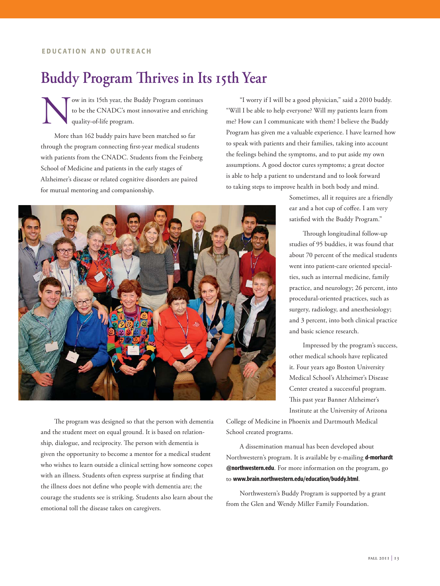#### **EDUCATION AND OUTREACH**

# **Buddy Program Thrives in Its 15th Year**

Now in its 15th year, the Buddy Program continues<br>to be the CNADC's most innovative and enrichin<br>quality-of-life program. to be the CNADC's most innovative and enriching quality-of-life program.

More than 162 buddy pairs have been matched so far through the program connecting first-year medical students with patients from the CNADC. Students from the Feinberg School of Medicine and patients in the early stages of Alzheimer's disease or related cognitive disorders are paired for mutual mentoring and companionship.

"I worry if I will be a good physician," said a 2010 buddy. "Will I be able to help everyone? Will my patients learn from me? How can I communicate with them? I believe the Buddy Program has given me a valuable experience. I have learned how to speak with patients and their families, taking into account the feelings behind the symptoms, and to put aside my own assumptions. A good doctor cures symptoms; a great doctor is able to help a patient to understand and to look forward to taking steps to improve health in both body and mind.

> Sometimes, all it requires are a friendly ear and a hot cup of coffee. I am very satisfied with the Buddy Program."

Through longitudinal follow-up studies of 95 buddies, it was found that about 70 percent of the medical students went into patient-care oriented specialties, such as internal medicine, family practice, and neurology; 26 percent, into procedural-oriented practices, such as surgery, radiology, and anesthesiology; and 3 percent, into both clinical practice and basic science research.

Impressed by the program's success, other medical schools have replicated it. Four years ago Boston University Medical School's Alzheimer's Disease Center created a successful program. This past year Banner Alzheimer's Institute at the University of Arizona

The program was designed so that the person with dementia and the student meet on equal ground. It is based on relationship, dialogue, and reciprocity. The person with dementia is given the opportunity to become a mentor for a medical student who wishes to learn outside a clinical setting how someone copes with an illness. Students often express surprise at finding that the illness does not define who people with dementia are; the courage the students see is striking. Students also learn about the emotional toll the disease takes on caregivers.

College of Medicine in Phoenix and Dartmouth Medical School created programs.

A dissemination manual has been developed about Northwestern's program. It is available by e-mailing **d-morhardt @northwestern.edu**. For more information on the program, go to **www.brain.northwestern.edu/education/buddy.html**.

Northwestern's Buddy Program is supported by a grant from the Glen and Wendy Miller Family Foundation.



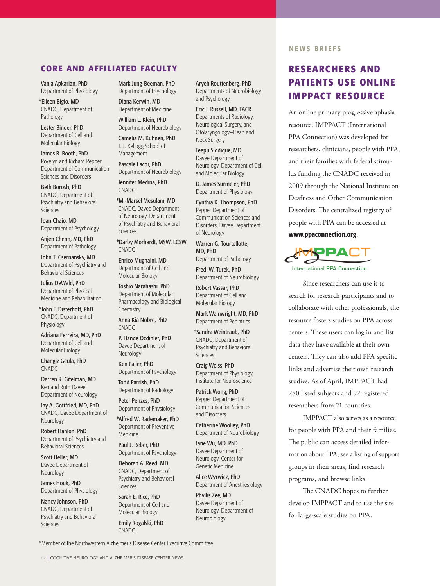## **CORE AND AFFILIATED FACULTY**

Vania Apkarian, PhD Department of Physiology

\*Eileen Bigio, MD CNADC, Department of Pathology

Lester Binder, PhD Department of Cell and Molecular Biology

James R. Booth, PhD Roxelyn and Richard Pepper Department of Communication Sciences and Disorders

Beth Borosh, PhD CNADC, Department of Psychiatry and Behavioral Sciences

Joan Chaio, MD Department of Psychology

Anjen Chenn, MD, PhD Department of Pathology

John T. Csernansky, MD Department of Psychiatry and Behavioral Sciences

Julius DeWald, PhD Department of Physical Medicine and Rehabilitation

\*John F. Disterhoft, PhD CNADC, Department of Physiology

Adriana Ferreira, MD, PhD Department of Cell and Molecular Biology

Changiz Geula, PhD CNADC

Darren R. Gitelman, MD Ken and Ruth Davee Department of Neurology

Jay A. Gottfried, MD, PhD CNADC, Davee Department of Neurology

Robert Hanlon, PhD Department of Psychiatry and Behavioral Sciences

Scott Heller, MD Davee Department of Neurology

James Houk, PhD Department of Physiology

Nancy Johnson, PhD CNADC, Department of Psychiatry and Behavioral Sciences

Mark Jung-Beeman, PhD Department of Psychology

Diana Kerwin, MD Department of Medicine

William L. Klein, PhD Department of Neurobiology

Camelia M. Kuhnen, PhD J. L. Kellogg School of

Management Pascale Lacor, PhD Department of Neurobiology

Jennifer Medina, PhD CNADC

\*M.-Marsel Mesulam, MD CNADC, Davee Department of Neurology, Department of Psychiatry and Behavioral Sciences

\*Darby Morhardt, MSW, LCSW CNADC

Enrico Mugnaini, MD Department of Cell and Molecular Biology

Toshio Narahashi, PhD Department of Molecular Pharmacology and Biological **Chemistry** 

Anna Kia Nobre, PhD CNADC

P. Hande Ozdinler, PhD Davee Department of Neurology

Ken Paller, PhD Department of Psychology

Todd Parrish, PhD Department of Radiology

Peter Penzes, PhD Department of Physiology

\*Alfred W. Rademaker, PhD Department of Preventive Medicine

Paul J. Reber, PhD Department of Psychology

Deborah A. Reed, MD CNADC, Department of Psychiatry and Behavioral Sciences

Sarah E. Rice, PhD Department of Cell and Molecular Biology

Emily Rogalski, PhD CNADC

Aryeh Routtenberg, PhD Departments of Neurobiology and Psychology

Eric J. Russell, MD, FACR Departments of Radiology, Neurological Surgery, and Otolaryngology—Head and Neck Surgery

Teepu Siddique, MD Davee Department of Neurology, Department of Cell and Molecular Biology

D. James Surmeier, PhD Department of Physiology

Cynthia K. Thompson, PhD Pepper Department of Communication Sciences and Disorders, Davee Department of Neurology

Warren G. Tourtellotte, MD, PhD Department of Pathology

Fred. W. Turek, PhD Department of Neurobiology

Robert Vassar, PhD Department of Cell and Molecular Biology

Mark Wainwright, MD, PhD Department of Pediatrics

\*Sandra Weintraub, PhD CNADC, Department of Psychiatry and Behavioral Sciences

Craig Weiss, PhD Department of Physiology, Institute for Neuroscience

Patrick Wong, PhD Pepper Department of Communication Sciences and Disorders

Catherine Woolley, PhD Department of Neurobiology

Jane Wu, MD, PhD Davee Department of Neurology, Center for Genetic Medicine

Alice Wyrwicz, PhD Department of Anesthesiology

Phyllis Zee, MD Davee Department of Neurology, Department of Neurobiology

#### **NEWS BRIEFS**

# **RESEARCHERS AND PATIENTS USE ONLINE IMPPACT RESOURCE**

An online primary progressive aphasia resource, IMPPACT (International PPA Connection) was developed for researchers, clinicians, people with PPA, and their families with federal stimulus funding the CNADC received in 2009 through the National Institute on Deafness and Other Communication Disorders. The centralized registry of people with PPA can be accessed at **www.ppaconnection.org**.



Since researchers can use it to search for research participants and to collaborate with other professionals, the resource fosters studies on PPA across centers. These users can log in and list data they have available at their own centers. They can also add PPA-specific links and advertise their own research studies. As of April, IMPPACT had 280 listed subjects and 92 registered researchers from 21 countries.

IMPPACT also serves as a resource for people with PPA and their families. The public can access detailed information about PPA, see a listing of support groups in their areas, find research programs, and browse links.

The CNADC hopes to further develop IMPPACT and to use the site for large-scale studies on PPA.

\*Member of the Northwestern Alzheimer's Disease Center Executive Committee

14 | COGNITIVE NEUROLOGY AND ALZHEIMER'S DISEASE CENTER NEWS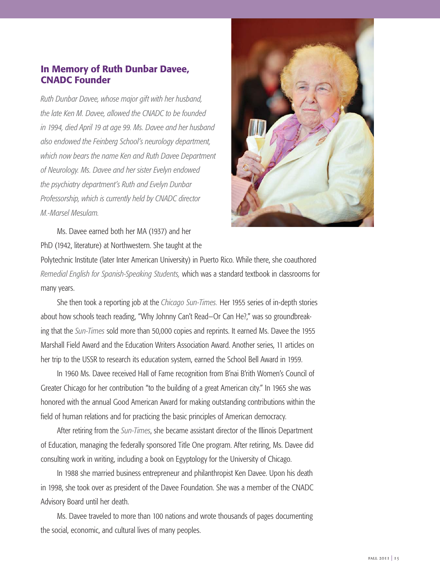# **In Memory of Ruth Dunbar Davee, CNADC Founder**

*Ruth Dunbar Davee, whose major gift with her husband, the late Ken M. Davee, allowed the CNADC to be founded in 1994, died April 19 at age 99. Ms. Davee and her husband also endowed the Feinberg School's neurology department, which now bears the name Ken and Ruth Davee Department of Neurology. Ms. Davee and her sister Evelyn endowed the psychiatry department's Ruth and Evelyn Dunbar Professorship, which is currently held by CNADC director M.-Marsel Mesulam.* 



Ms. Davee earned both her MA (1937) and her PhD (1942, literature) at Northwestern. She taught at the

Polytechnic Institute (later Inter American University) in Puerto Rico. While there, she coauthored *Remedial English for Spanish-Speaking Students,* which was a standard textbook in classrooms for many years.

She then took a reporting job at the *Chicago Sun-Times.* Her 1955 series of in-depth stories about how schools teach reading, "Why Johnny Can't Read—Or Can He?," was so groundbreaking that the *Sun-Times* sold more than 50,000 copies and reprints. It earned Ms. Davee the 1955 Marshall Field Award and the Education Writers Association Award. Another series, 11 articles on her trip to the USSR to research its education system, earned the School Bell Award in 1959.

In 1960 Ms. Davee received Hall of Fame recognition from B'nai B'rith Women's Council of Greater Chicago for her contribution "to the building of a great American city." In 1965 she was honored with the annual Good American Award for making outstanding contributions within the field of human relations and for practicing the basic principles of American democracy.

After retiring from the *Sun-Times*, she became assistant director of the Illinois Department of Education, managing the federally sponsored Title One program. After retiring, Ms. Davee did consulting work in writing, including a book on Egyptology for the University of Chicago.

In 1988 she married business entrepreneur and philanthropist Ken Davee. Upon his death in 1998, she took over as president of the Davee Foundation. She was a member of the CNADC Advisory Board until her death.

Ms. Davee traveled to more than 100 nations and wrote thousands of pages documenting the social, economic, and cultural lives of many peoples.